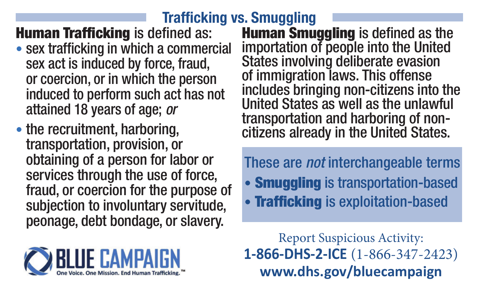## **Trafficking vs. Smuggling**

## **Human Trafficking** is defined as:

- sex trafficking in which a commercial sex act is induced by force, fraud, or coercion, or in which the person induced to perform such act has not attained 18 years of age; *or*
- the recruitment, harboring. transportation, provision, or obtaining of a person for labor or services through the use of force, fraud, or coercion for the purpose of subjection to involuntary servitude, peonage, debt bondage, or slavery.



**Human Smuggling** is defined as the importation of people into the United States involving deliberate evasion of immigration laws. This offense includes bringing non-citizens into the United States as well as the unlawful transportation and harboring of noncitizens already in the United States.

These are *not* interchangeable terms • Smuggling is transportation-based • **Trafficking** is exploitation-based

Report Suspicious Activity: **1-866-DHS-2-ICE** (1-866-347-2423) **www.dhs.gov/bluecampaign**